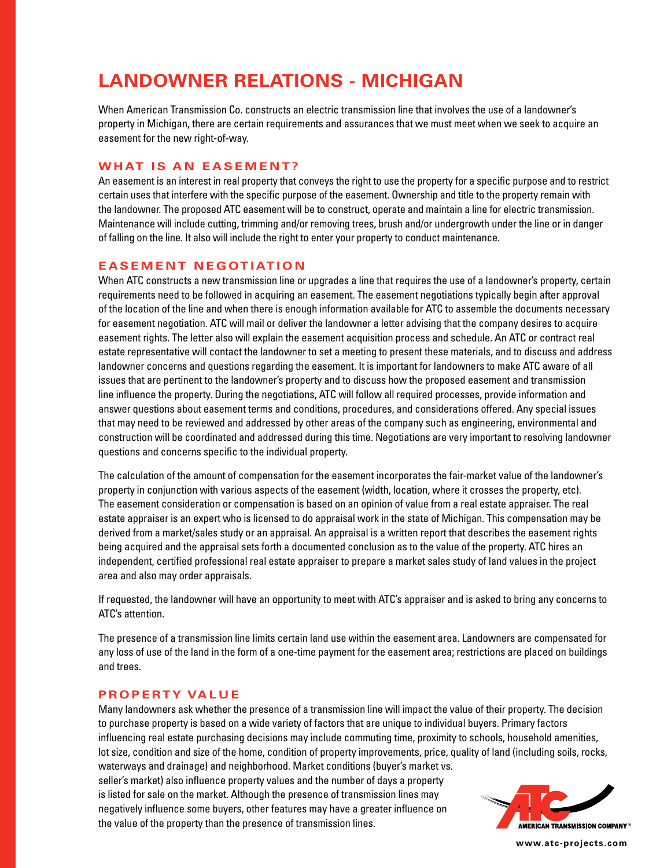# **LANDOWNER RELATIONS - MICHIGAN**

When American Transmission Co. constructs an electric transmission line that involves the use of a landowner's property in Michigan, there are certain requirements and assurances that we must meet when we seek to acquire an easement for the new right-of-way.

# **WHAT IS AN EASEMENT?**

An easement is an interest in real property that conveys the right to use the property for a specific purpose and to restrict certain uses that interfere with the specific purpose of the easement. Ownership and title to the property remain with the landowner. The proposed ATC easement will be to construct, operate and maintain a line for electric transmission. Maintenance will include cutting, trimming and/or removing trees, brush and/or undergrowth under the line or in danger of falling on the line. It also will include the right to enter your property to conduct maintenance.

## **EASEMENT NEGOTIATION**

When ATC constructs a new transmission line or upgrades a line that requires the use of a landowner's property, certain requirements need to be followed in acquiring an easement. The easement negotiations typically begin after approval of the location of the line and when there is enough information available for ATC to assemble the documents necessary for easement negotiation. ATC will mail or deliver the landowner a letter advising that the company desires to acquire easement rights. The letter also will explain the easement acquisition process and schedule. An ATC or contract real estate representative will contact the landowner to set a meeting to present these materials, and to discuss and address landowner concerns and questions regarding the easement. It is important for landowners to make ATC aware of all issues that are pertinent to the landowner's property and to discuss how the proposed easement and transmission line influence the property. During the negotiations, ATC will follow all required processes, provide information and answer questions about easement terms and conditions, procedures, and considerations offered. Any special issues that may need to be reviewed and addressed by other areas of the company such as engineering, environmental and construction will be coordinated and addressed during this time. Negotiations are very important to resolving landowner questions and concerns specific to the individual property.

The calculation of the amount of compensation for the easement incorporates the fair-market value of the landowner's property in conjunction with various aspects of the easement (width, location, where it crosses the property, etc). The easement consideration or compensation is based on an opinion of value from a real estate appraiser. The real estate appraiser is an expert who is licensed to do appraisal work in the state of Michigan. This compensation may be derived from a market/sales study or an appraisal. An appraisal is a written report that describes the easement rights being acquired and the appraisal sets forth a documented conclusion as to the value of the property. ATC hires an independent, certified professional real estate appraiser to prepare a market sales study of land values in the project area and also may order appraisals.

If requested, the landowner will have an opportunity to meet with ATC's appraiser and is asked to bring any concerns to ATC's attention.

The presence of a transmission line limits certain land use within the easement area. Landowners are compensated for any loss of use of the land in the form of a one-time payment for the easement area; restrictions are placed on buildings and trees.

### **PROPERTY VALUE**

Many landowners ask whether the presence of a transmission line will impact the value of their property. The decision to purchase property is based on a wide variety of factors that are unique to individual buyers. Primary factors influencing real estate purchasing decisions may include commuting time, proximity to schools, household amenities, lot size, condition and size of the home, condition of property improvements, price, quality of land (including soils, rocks, waterways and drainage) and neighborhood. Market conditions (buyer's market vs.

seller's market) also influence property values and the number of days a property is listed for sale on the market. Although the presence of transmission lines may negatively influence some buyers, other features may have a greater influence on the value of the property than the presence of transmission lines.



**www.atc-projects.com**